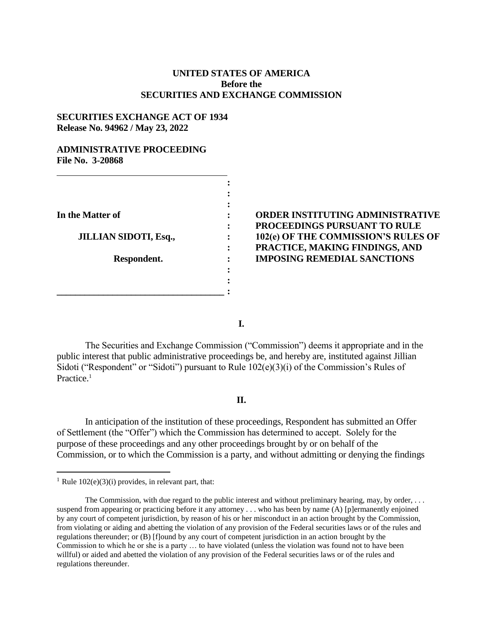## **UNITED STATES OF AMERICA Before the SECURITIES AND EXCHANGE COMMISSION**

## **SECURITIES EXCHANGE ACT OF 1934 Release No. 94962 / May 23, 2022**

### **ADMINISTRATIVE PROCEEDING File No. 3-20868**

| In the Matter of             |  |
|------------------------------|--|
| <b>JILLIAN SIDOTI, Esq.,</b> |  |
| Respondent.                  |  |
|                              |  |
|                              |  |

# **In the Matter of : ORDER INSTITUTING ADMINISTRATIVE : PROCEEDINGS PURSUANT TO RULE 102(e) OF THE COMMISSION'S RULES OF : PRACTICE, MAKING FINDINGS, AND IMPOSING REMEDIAL SANCTIONS**

**I.**

The Securities and Exchange Commission ("Commission") deems it appropriate and in the public interest that public administrative proceedings be, and hereby are, instituted against Jillian Sidoti ("Respondent" or "Sidoti") pursuant to Rule 102(e)(3)(i) of the Commission's Rules of Practice.<sup>1</sup>

### **II.**

In anticipation of the institution of these proceedings, Respondent has submitted an Offer of Settlement (the "Offer") which the Commission has determined to accept. Solely for the purpose of these proceedings and any other proceedings brought by or on behalf of the Commission, or to which the Commission is a party, and without admitting or denying the findings

 $\overline{a}$ 

<sup>&</sup>lt;sup>1</sup> Rule  $102(e)(3)(i)$  provides, in relevant part, that:

The Commission, with due regard to the public interest and without preliminary hearing, may, by order, ... suspend from appearing or practicing before it any attorney . . . who has been by name (A) [p]ermanently enjoined by any court of competent jurisdiction, by reason of his or her misconduct in an action brought by the Commission, from violating or aiding and abetting the violation of any provision of the Federal securities laws or of the rules and regulations thereunder; or (B) [f]ound by any court of competent jurisdiction in an action brought by the Commission to which he or she is a party … to have violated (unless the violation was found not to have been willful) or aided and abetted the violation of any provision of the Federal securities laws or of the rules and regulations thereunder.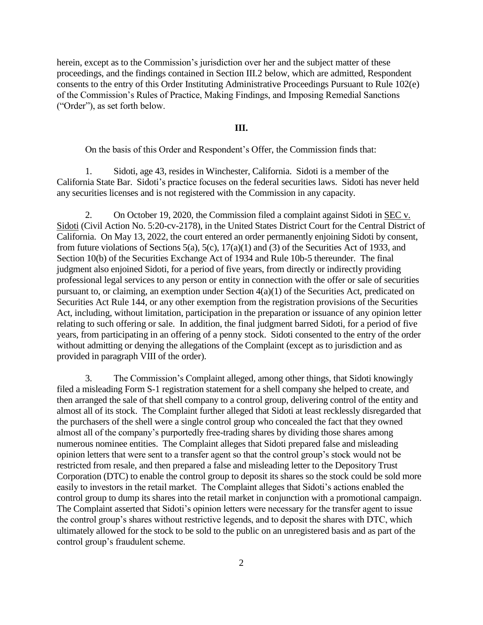herein, except as to the Commission's jurisdiction over her and the subject matter of these proceedings, and the findings contained in Section III.2 below, which are admitted, Respondent consents to the entry of this Order Instituting Administrative Proceedings Pursuant to Rule 102(e) of the Commission's Rules of Practice, Making Findings, and Imposing Remedial Sanctions ("Order"), as set forth below.

#### **III.**

On the basis of this Order and Respondent's Offer, the Commission finds that:

1. Sidoti, age 43, resides in Winchester, California. Sidoti is a member of the California State Bar. Sidoti's practice focuses on the federal securities laws. Sidoti has never held any securities licenses and is not registered with the Commission in any capacity.

2. On October 19, 2020, the Commission filed a complaint against Sidoti in SEC v. Sidoti (Civil Action No. 5:20-cv-2178), in the United States District Court for the Central District of California. On May 13, 2022, the court entered an order permanently enjoining Sidoti by consent, from future violations of Sections 5(a), 5(c), 17(a)(1) and (3) of the Securities Act of 1933, and Section 10(b) of the Securities Exchange Act of 1934 and Rule 10b-5 thereunder. The final judgment also enjoined Sidoti, for a period of five years, from directly or indirectly providing professional legal services to any person or entity in connection with the offer or sale of securities pursuant to, or claiming, an exemption under Section 4(a)(1) of the Securities Act, predicated on Securities Act Rule 144, or any other exemption from the registration provisions of the Securities Act, including, without limitation, participation in the preparation or issuance of any opinion letter relating to such offering or sale. In addition, the final judgment barred Sidoti, for a period of five years, from participating in an offering of a penny stock. Sidoti consented to the entry of the order without admitting or denying the allegations of the Complaint (except as to jurisdiction and as provided in paragraph VIII of the order).

3. The Commission's Complaint alleged, among other things, that Sidoti knowingly filed a misleading Form S-1 registration statement for a shell company she helped to create, and then arranged the sale of that shell company to a control group, delivering control of the entity and almost all of its stock. The Complaint further alleged that Sidoti at least recklessly disregarded that the purchasers of the shell were a single control group who concealed the fact that they owned almost all of the company's purportedly free-trading shares by dividing those shares among numerous nominee entities. The Complaint alleges that Sidoti prepared false and misleading opinion letters that were sent to a transfer agent so that the control group's stock would not be restricted from resale, and then prepared a false and misleading letter to the Depository Trust Corporation (DTC) to enable the control group to deposit its shares so the stock could be sold more easily to investors in the retail market. The Complaint alleges that Sidoti's actions enabled the control group to dump its shares into the retail market in conjunction with a promotional campaign. The Complaint asserted that Sidoti's opinion letters were necessary for the transfer agent to issue the control group's shares without restrictive legends, and to deposit the shares with DTC, which ultimately allowed for the stock to be sold to the public on an unregistered basis and as part of the control group's fraudulent scheme.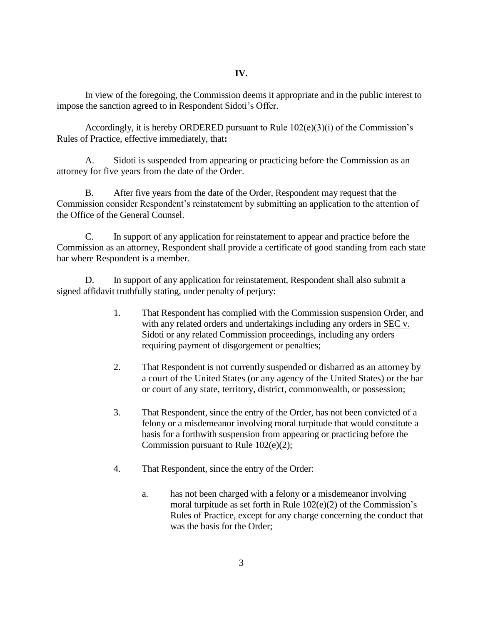In view of the foregoing, the Commission deems it appropriate and in the public interest to impose the sanction agreed to in Respondent Sidoti's Offer.

Accordingly, it is hereby ORDERED pursuant to Rule 102(e)(3)(i) of the Commission's Rules of Practice, effective immediately, that**:**

A. Sidoti is suspended from appearing or practicing before the Commission as an attorney for five years from the date of the Order.

B. After five years from the date of the Order, Respondent may request that the Commission consider Respondent's reinstatement by submitting an application to the attention of the Office of the General Counsel.

C. In support of any application for reinstatement to appear and practice before the Commission as an attorney, Respondent shall provide a certificate of good standing from each state bar where Respondent is a member.

D. In support of any application for reinstatement, Respondent shall also submit a signed affidavit truthfully stating, under penalty of perjury:

- 1. That Respondent has complied with the Commission suspension Order, and with any related orders and undertakings including any orders in SEC v. Sidoti or any related Commission proceedings, including any orders requiring payment of disgorgement or penalties;
- 2. That Respondent is not currently suspended or disbarred as an attorney by a court of the United States (or any agency of the United States) or the bar or court of any state, territory, district, commonwealth, or possession;
- 3. That Respondent, since the entry of the Order, has not been convicted of a felony or a misdemeanor involving moral turpitude that would constitute a basis for a forthwith suspension from appearing or practicing before the Commission pursuant to Rule 102(e)(2);
- 4. That Respondent, since the entry of the Order:
	- a. has not been charged with a felony or a misdemeanor involving moral turpitude as set forth in Rule 102(e)(2) of the Commission's Rules of Practice, except for any charge concerning the conduct that was the basis for the Order;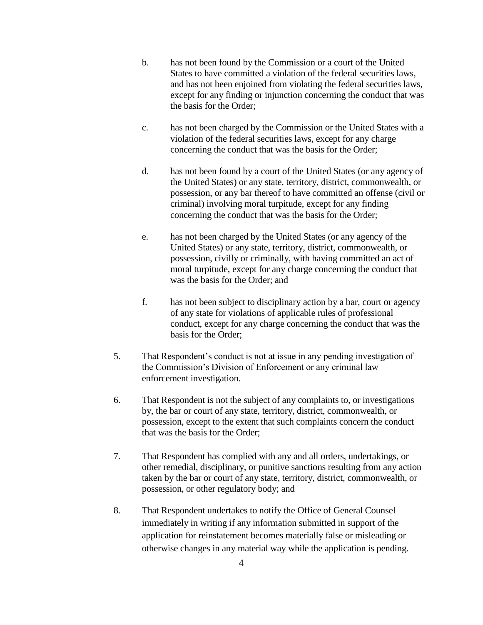- b. has not been found by the Commission or a court of the United States to have committed a violation of the federal securities laws, and has not been enjoined from violating the federal securities laws, except for any finding or injunction concerning the conduct that was the basis for the Order;
- c. has not been charged by the Commission or the United States with a violation of the federal securities laws, except for any charge concerning the conduct that was the basis for the Order;
- d. has not been found by a court of the United States (or any agency of the United States) or any state, territory, district, commonwealth, or possession, or any bar thereof to have committed an offense (civil or criminal) involving moral turpitude, except for any finding concerning the conduct that was the basis for the Order;
- e. has not been charged by the United States (or any agency of the United States) or any state, territory, district, commonwealth, or possession, civilly or criminally, with having committed an act of moral turpitude, except for any charge concerning the conduct that was the basis for the Order; and
- f. has not been subject to disciplinary action by a bar, court or agency of any state for violations of applicable rules of professional conduct, except for any charge concerning the conduct that was the basis for the Order;
- 5. That Respondent's conduct is not at issue in any pending investigation of the Commission's Division of Enforcement or any criminal law enforcement investigation.
- 6. That Respondent is not the subject of any complaints to, or investigations by, the bar or court of any state, territory, district, commonwealth, or possession, except to the extent that such complaints concern the conduct that was the basis for the Order;
- 7. That Respondent has complied with any and all orders, undertakings, or other remedial, disciplinary, or punitive sanctions resulting from any action taken by the bar or court of any state, territory, district, commonwealth, or possession, or other regulatory body; and
- 8. That Respondent undertakes to notify the Office of General Counsel immediately in writing if any information submitted in support of the application for reinstatement becomes materially false or misleading or otherwise changes in any material way while the application is pending.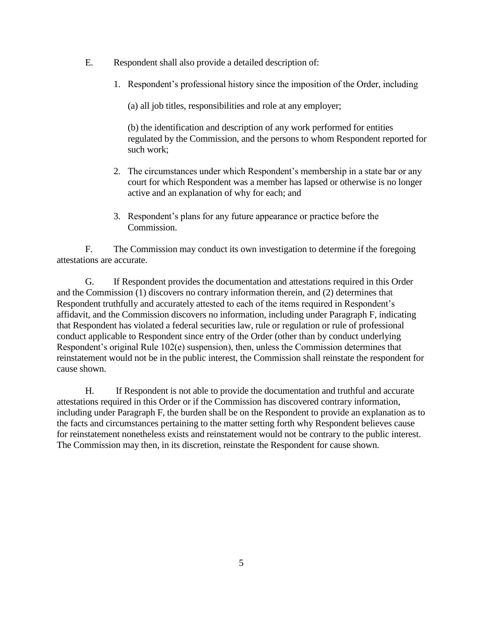- E. Respondent shall also provide a detailed description of:
	- 1. Respondent's professional history since the imposition of the Order, including

(a) all job titles, responsibilities and role at any employer;

(b) the identification and description of any work performed for entities regulated by the Commission, and the persons to whom Respondent reported for such work;

- 2. The circumstances under which Respondent's membership in a state bar or any court for which Respondent was a member has lapsed or otherwise is no longer active and an explanation of why for each; and
- 3. Respondent's plans for any future appearance or practice before the Commission.

F. The Commission may conduct its own investigation to determine if the foregoing attestations are accurate.

G. If Respondent provides the documentation and attestations required in this Order and the Commission (1) discovers no contrary information therein, and (2) determines that Respondent truthfully and accurately attested to each of the items required in Respondent's affidavit, and the Commission discovers no information, including under Paragraph F, indicating that Respondent has violated a federal securities law, rule or regulation or rule of professional conduct applicable to Respondent since entry of the Order (other than by conduct underlying Respondent's original Rule 102(e) suspension), then, unless the Commission determines that reinstatement would not be in the public interest, the Commission shall reinstate the respondent for cause shown.

H. If Respondent is not able to provide the documentation and truthful and accurate attestations required in this Order or if the Commission has discovered contrary information, including under Paragraph F, the burden shall be on the Respondent to provide an explanation as to the facts and circumstances pertaining to the matter setting forth why Respondent believes cause for reinstatement nonetheless exists and reinstatement would not be contrary to the public interest. The Commission may then, in its discretion, reinstate the Respondent for cause shown.